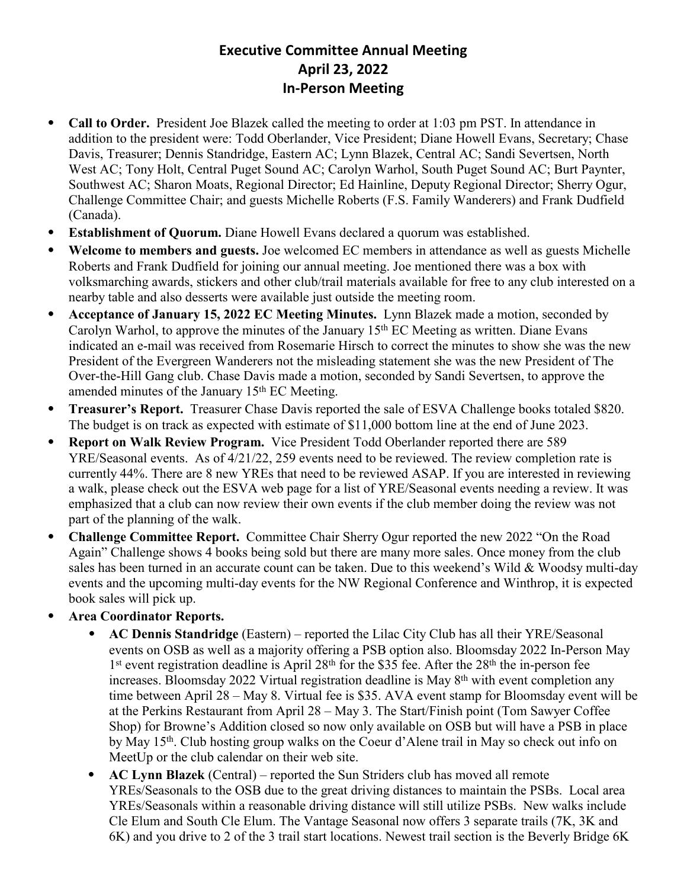## **Executive Committee Annual Meeting April 23, 2022 In-Person Meeting**

- ⦁ **Call to Order.** President Joe Blazek called the meeting to order at 1:03 pm PST. In attendance in addition to the president were: Todd Oberlander, Vice President; Diane Howell Evans, Secretary; Chase Davis, Treasurer; Dennis Standridge, Eastern AC; Lynn Blazek, Central AC; Sandi Severtsen, North West AC; Tony Holt, Central Puget Sound AC; Carolyn Warhol, South Puget Sound AC; Burt Paynter, Southwest AC; Sharon Moats, Regional Director; Ed Hainline, Deputy Regional Director; Sherry Ogur, Challenge Committee Chair; and guests Michelle Roberts (F.S. Family Wanderers) and Frank Dudfield (Canada).
- ⦁ **Establishment of Quorum.** Diane Howell Evans declared a quorum was established.
- ⦁ **Welcome to members and guests.** Joe welcomed EC members in attendance as well as guests Michelle Roberts and Frank Dudfield for joining our annual meeting. Joe mentioned there was a box with volksmarching awards, stickers and other club/trail materials available for free to any club interested on a nearby table and also desserts were available just outside the meeting room.
- ⦁ **Acceptance of January 15, 2022 EC Meeting Minutes.** Lynn Blazek made a motion, seconded by Carolyn Warhol, to approve the minutes of the January 15<sup>th</sup> EC Meeting as written. Diane Evans indicated an e-mail was received from Rosemarie Hirsch to correct the minutes to show she was the new President of the Evergreen Wanderers not the misleading statement she was the new President of The Over-the-Hill Gang club. Chase Davis made a motion, seconded by Sandi Severtsen, to approve the amended minutes of the January 15<sup>th</sup> EC Meeting.
- ⦁ **Treasurer's Report.** Treasurer Chase Davis reported the sale of ESVA Challenge books totaled \$820. The budget is on track as expected with estimate of \$11,000 bottom line at the end of June 2023.
- ⦁ **Report on Walk Review Program.** Vice President Todd Oberlander reported there are 589 YRE/Seasonal events. As of 4/21/22, 259 events need to be reviewed. The review completion rate is currently 44%. There are 8 new YREs that need to be reviewed ASAP. If you are interested in reviewing a walk, please check out the ESVA web page for a list of YRE/Seasonal events needing a review. It was emphasized that a club can now review their own events if the club member doing the review was not part of the planning of the walk.
- ⦁ **Challenge Committee Report.** Committee Chair Sherry Ogur reported the new 2022 "On the Road Again" Challenge shows 4 books being sold but there are many more sales. Once money from the club sales has been turned in an accurate count can be taken. Due to this weekend's Wild & Woodsy multi-day events and the upcoming multi-day events for the NW Regional Conference and Winthrop, it is expected book sales will pick up.
- ⦁ **Area Coordinator Reports.**
	- ⦁ **AC Dennis Standridge** (Eastern) reported the Lilac City Club has all their YRE/Seasonal events on OSB as well as a majority offering a PSB option also. Bloomsday 2022 In-Person May 1<sup>st</sup> event registration deadline is April 28<sup>th</sup> for the \$35 fee. After the 28<sup>th</sup> the in-person fee increases. Bloomsday 2022 Virtual registration deadline is May 8<sup>th</sup> with event completion any time between April 28 – May 8. Virtual fee is \$35. AVA event stamp for Bloomsday event will be at the Perkins Restaurant from April 28 – May 3. The Start/Finish point (Tom Sawyer Coffee Shop) for Browne's Addition closed so now only available on OSB but will have a PSB in place by May 15th. Club hosting group walks on the Coeur d'Alene trail in May so check out info on MeetUp or the club calendar on their web site.
	- ⦁ **AC Lynn Blazek** (Central) reported the Sun Striders club has moved all remote YREs/Seasonals to the OSB due to the great driving distances to maintain the PSBs. Local area YREs/Seasonals within a reasonable driving distance will still utilize PSBs. New walks include Cle Elum and South Cle Elum. The Vantage Seasonal now offers 3 separate trails (7K, 3K and 6K) and you drive to 2 of the 3 trail start locations. Newest trail section is the Beverly Bridge 6K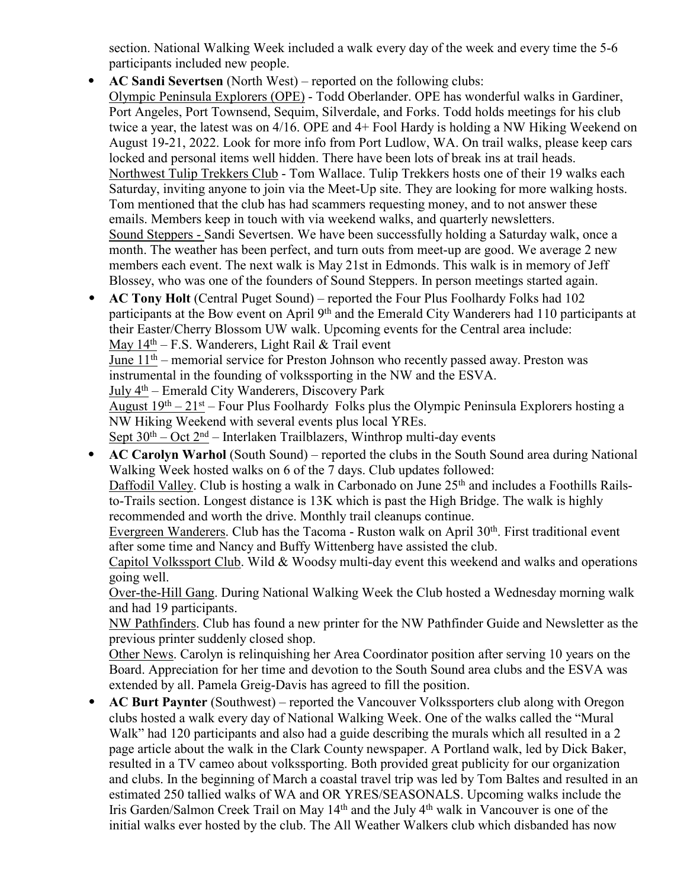section. National Walking Week included a walk every day of the week and every time the 5-6 participants included new people.

- ⦁ **AC Sandi Severtsen** (North West) reported on the following clubs: Olympic Peninsula Explorers (OPE) - Todd Oberlander. OPE has wonderful walks in Gardiner, Port Angeles, Port Townsend, Sequim, Silverdale, and Forks. Todd holds meetings for his club twice a year, the latest was on 4/16. OPE and 4+ Fool Hardy is holding a NW Hiking Weekend on August 19-21, 2022. Look for more info from Port Ludlow, WA. On trail walks, please keep cars locked and personal items well hidden. There have been lots of break ins at trail heads. Northwest Tulip Trekkers Club - Tom Wallace. Tulip Trekkers hosts one of their 19 walks each Saturday, inviting anyone to join via the Meet-Up site. They are looking for more walking hosts. Tom mentioned that the club has had scammers requesting money, and to not answer these emails. Members keep in touch with via weekend walks, and quarterly newsletters. Sound Steppers - Sandi Severtsen. We have been successfully holding a Saturday walk, once a month. The weather has been perfect, and turn outs from meet-up are good. We average 2 new members each event. The next walk is May 21st in Edmonds. This walk is in memory of Jeff Blossey, who was one of the founders of Sound Steppers. In person meetings started again.
- ⦁ **AC Tony Holt** (Central Puget Sound) reported the Four Plus Foolhardy Folks had 102 participants at the Bow event on April 9th and the Emerald City Wanderers had 110 participants at their Easter/Cherry Blossom UW walk. Upcoming events for the Central area include: May  $14<sup>th</sup> - F.S.$  Wanderers, Light Rail & Trail event

June 11th – memorial service for Preston Johnson who recently passed away. Preston was instrumental in the founding of volkssporting in the NW and the ESVA.

July 4th – Emerald City Wanderers, Discovery Park

August 19th – 21st – Four Plus Foolhardy Folks plus the Olympic Peninsula Explorers hosting a NW Hiking Weekend with several events plus local YREs.

Sept  $30<sup>th</sup> - Oct 2<sup>nd</sup> - Interlaken Trailblazers, Winthrop multi-day events$ 

⦁ **AC Carolyn Warhol** (South Sound) – reported the clubs in the South Sound area during National Walking Week hosted walks on 6 of the 7 days. Club updates followed:

Daffodil Valley. Club is hosting a walk in Carbonado on June 25<sup>th</sup> and includes a Foothills Railsto-Trails section. Longest distance is 13K which is past the High Bridge. The walk is highly recommended and worth the drive. Monthly trail cleanups continue.

Evergreen Wanderers. Club has the Tacoma - Ruston walk on April 30th. First traditional event after some time and Nancy and Buffy Wittenberg have assisted the club.

Capitol Volkssport Club. Wild & Woodsy multi-day event this weekend and walks and operations going well.

Over-the-Hill Gang. During National Walking Week the Club hosted a Wednesday morning walk and had 19 participants.

NW Pathfinders. Club has found a new printer for the NW Pathfinder Guide and Newsletter as the previous printer suddenly closed shop.

Other News. Carolyn is relinquishing her Area Coordinator position after serving 10 years on the Board. Appreciation for her time and devotion to the South Sound area clubs and the ESVA was extended by all. Pamela Greig-Davis has agreed to fill the position.

⦁ **AC Burt Paynter** (Southwest) – reported the Vancouver Volkssporters club along with Oregon clubs hosted a walk every day of National Walking Week. One of the walks called the "Mural Walk" had 120 participants and also had a guide describing the murals which all resulted in a 2 page article about the walk in the Clark County newspaper. A Portland walk, led by Dick Baker, resulted in a TV cameo about volkssporting. Both provided great publicity for our organization and clubs. In the beginning of March a coastal travel trip was led by Tom Baltes and resulted in an estimated 250 tallied walks of WA and OR YRES/SEASONALS. Upcoming walks include the Iris Garden/Salmon Creek Trail on May 14<sup>th</sup> and the July 4<sup>th</sup> walk in Vancouver is one of the initial walks ever hosted by the club. The All Weather Walkers club which disbanded has now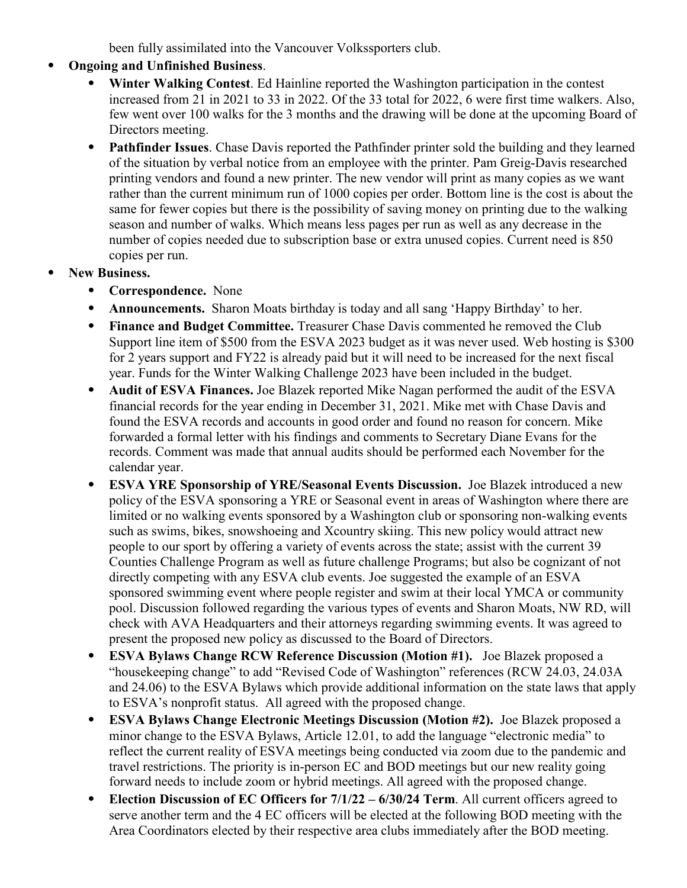been fully assimilated into the Vancouver Volkssporters club.

- ⦁ **Ongoing and Unfinished Business**.
	- ⦁ **Winter Walking Contest**. Ed Hainline reported the Washington participation in the contest increased from 21 in 2021 to 33 in 2022. Of the 33 total for 2022, 6 were first time walkers. Also, few went over 100 walks for the 3 months and the drawing will be done at the upcoming Board of Directors meeting.
	- ⦁ **Pathfinder Issues**. Chase Davis reported the Pathfinder printer sold the building and they learned of the situation by verbal notice from an employee with the printer. Pam Greig-Davis researched printing vendors and found a new printer. The new vendor will print as many copies as we want rather than the current minimum run of 1000 copies per order. Bottom line is the cost is about the same for fewer copies but there is the possibility of saving money on printing due to the walking season and number of walks. Which means less pages per run as well as any decrease in the number of copies needed due to subscription base or extra unused copies. Current need is 850 copies per run.
- ⦁ **New Business.**
	- ⦁ **Correspondence.** None
	- Announcements. Sharon Moats birthday is today and all sang 'Happy Birthday' to her.
	- ⦁ **Finance and Budget Committee.** Treasurer Chase Davis commented he removed the Club Support line item of \$500 from the ESVA 2023 budget as it was never used. Web hosting is \$300 for 2 years support and FY22 is already paid but it will need to be increased for the next fiscal year. Funds for the Winter Walking Challenge 2023 have been included in the budget.
	- ⦁ **Audit of ESVA Finances.** Joe Blazek reported Mike Nagan performed the audit of the ESVA financial records for the year ending in December 31, 2021. Mike met with Chase Davis and found the ESVA records and accounts in good order and found no reason for concern. Mike forwarded a formal letter with his findings and comments to Secretary Diane Evans for the records. Comment was made that annual audits should be performed each November for the calendar year.
	- ⦁ **ESVA YRE Sponsorship of YRE/Seasonal Events Discussion.** Joe Blazek introduced a new policy of the ESVA sponsoring a YRE or Seasonal event in areas of Washington where there are limited or no walking events sponsored by a Washington club or sponsoring non-walking events such as swims, bikes, snowshoeing and Xcountry skiing. This new policy would attract new people to our sport by offering a variety of events across the state; assist with the current 39 Counties Challenge Program as well as future challenge Programs; but also be cognizant of not directly competing with any ESVA club events. Joe suggested the example of an ESVA sponsored swimming event where people register and swim at their local YMCA or community pool. Discussion followed regarding the various types of events and Sharon Moats, NW RD, will check with AVA Headquarters and their attorneys regarding swimming events. It was agreed to present the proposed new policy as discussed to the Board of Directors.
	- ⦁ **ESVA Bylaws Change RCW Reference Discussion (Motion #1).** Joe Blazek proposed a "housekeeping change" to add "Revised Code of Washington" references (RCW 24.03, 24.03A and 24.06) to the ESVA Bylaws which provide additional information on the state laws that apply to ESVA's nonprofit status. All agreed with the proposed change.
	- ⦁ **ESVA Bylaws Change Electronic Meetings Discussion (Motion #2).** Joe Blazek proposed a minor change to the ESVA Bylaws, Article 12.01, to add the language "electronic media" to reflect the current reality of ESVA meetings being conducted via zoom due to the pandemic and travel restrictions. The priority is in-person EC and BOD meetings but our new reality going forward needs to include zoom or hybrid meetings. All agreed with the proposed change.
	- ⦁ **Election Discussion of EC Officers for 7/1/22 6/30/24 Term**. All current officers agreed to serve another term and the 4 EC officers will be elected at the following BOD meeting with the Area Coordinators elected by their respective area clubs immediately after the BOD meeting.